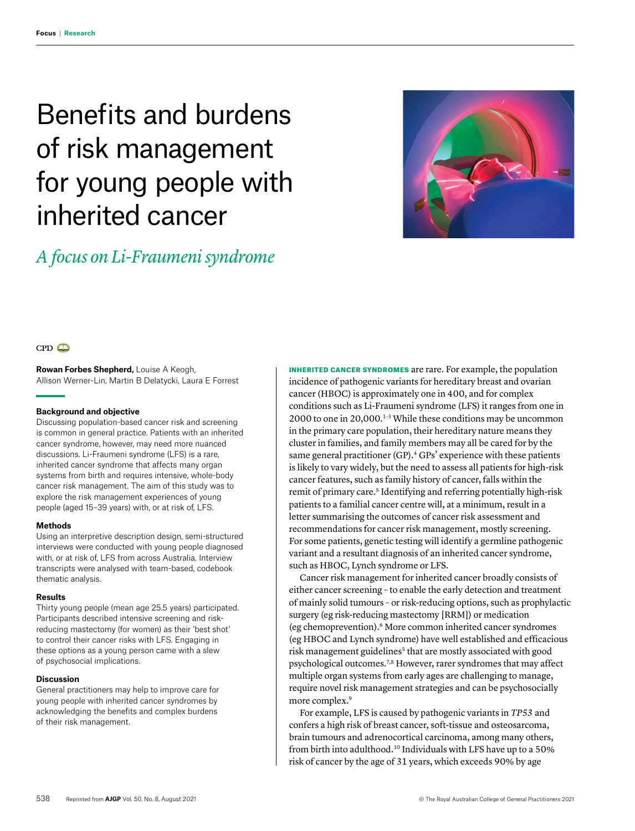# Benefits and burdens of risk management for young people with inherited cancer

# *A focus on Li-Fraumeni syndrome*





**Rowan Forbes Shepherd,** Louise A Keogh, Allison Werner-Lin, Martin B Delatycki, Laura E Forrest

#### **Background and objective**

Discussing population-based cancer risk and screening is common in general practice. Patients with an inherited cancer syndrome, however, may need more nuanced discussions. Li-Fraumeni syndrome (LFS) is a rare, inherited cancer syndrome that affects many organ systems from birth and requires intensive, whole-body cancer risk management. The aim of this study was to explore the risk management experiences of young people (aged 15–39 years) with, or at risk of, LFS.

# **Methods**

Using an interpretive description design, semi-structured interviews were conducted with young people diagnosed with, or at risk of, LFS from across Australia. Interview transcripts were analysed with team-based, codebook thematic analysis.

#### **Results**

Thirty young people (mean age 25.5 years) participated. Participants described intensive screening and riskreducing mastectomy (for women) as their 'best shot' to control their cancer risks with LFS. Engaging in these options as a young person came with a slew of psychosocial implications.

#### **Discussion**

General practitioners may help to improve care for young people with inherited cancer syndromes by acknowledging the benefits and complex burdens of their risk management.

INHERITED CANCER SYNDROMES are rare. For example, the population incidence of pathogenic variants for hereditary breast and ovarian cancer (HBOC) is approximately one in 400, and for complex conditions such as Li-Fraumeni syndrome (LFS) it ranges from one in 2000 to one in 20,000.1–3 While these conditions may be uncommon in the primary care population, their hereditary nature means they cluster in families, and family members may all be cared for by the same general practitioner (GP).<sup>4</sup> GPs' experience with these patients is likely to vary widely, but the need to assess all patients for high-risk cancer features, such as family history of cancer, falls within the remit of primary care.<sup>5</sup> Identifying and referring potentially high-risk patients to a familial cancer centre will, at a minimum, result in a letter summarising the outcomes of cancer risk assessment and recommendations for cancer risk management, mostly screening. For some patients, genetic testing will identify a germline pathogenic variant and a resultant diagnosis of an inherited cancer syndrome, such as HBOC, Lynch syndrome or LFS.

Cancer risk management for inherited cancer broadly consists of either cancer screening – to enable the early detection and treatment of mainly solid tumours – or risk-reducing options, such as prophylactic surgery (eg risk-reducing mastectomy [RRM]) or medication (eg chemoprevention).6 More common inherited cancer syndromes (eg HBOC and Lynch syndrome) have well established and efficacious risk management guidelines<sup>5</sup> that are mostly associated with good psychological outcomes.7,8 However, rarer syndromes that may affect multiple organ systems from early ages are challenging to manage, require novel risk management strategies and can be psychosocially more complex.9

For example, LFS is caused by pathogenic variants in *TP53* and confers a high risk of breast cancer, soft-tissue and osteosarcoma, brain tumours and adrenocortical carcinoma, among many others, from birth into adulthood.10 Individuals with LFS have up to a 50% risk of cancer by the age of 31 years, which exceeds 90% by age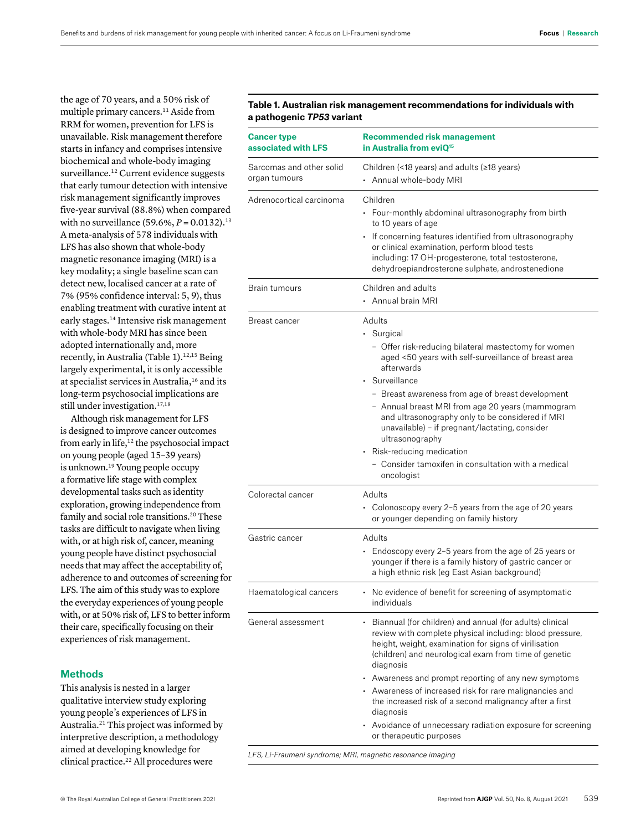the age of 70 years, and a 50% risk of multiple primary cancers.11 Aside from RRM for women, prevention for LFS is unavailable. Risk management therefore starts in infancy and comprises intensive biochemical and whole-body imaging surveillance.<sup>12</sup> Current evidence suggests that early tumour detection with intensive risk management significantly improves five-year survival (88.8%) when compared with no surveillance (59.6%, *P* = 0.0132).<sup>13</sup> A meta-analysis of 578 individuals with LFS has also shown that whole-body magnetic resonance imaging (MRI) is a key modality; a single baseline scan can detect new, localised cancer at a rate of 7% (95% confidence interval: 5, 9), thus enabling treatment with curative intent at early stages.14 Intensive risk management with whole-body MRI has since been adopted internationally and, more recently, in Australia (Table 1).<sup>12,15</sup> Being largely experimental, it is only accessible at specialist services in Australia,<sup>16</sup> and its long-term psychosocial implications are still under investigation.<sup>17,18</sup>

Although risk management for LFS is designed to improve cancer outcomes from early in life,12 the psychosocial impact on young people (aged 15–39 years) is unknown.19 Young people occupy a formative life stage with complex developmental tasks such as identity exploration, growing independence from family and social role transitions.<sup>20</sup> These tasks are difficult to navigate when living with, or at high risk of, cancer, meaning young people have distinct psychosocial needs that may affect the acceptability of, adherence to and outcomes of screening for LFS. The aim of this study was to explore the everyday experiences of young people with, or at 50% risk of, LFS to better inform their care, specifically focusing on their experiences of risk management.

# **Methods**

This analysis is nested in a larger qualitative interview study exploring young people's experiences of LFS in Australia.21 This project was informed by interpretive description, a methodology aimed at developing knowledge for clinical practice.<sup>22</sup> All procedures were

# **Table 1. Australian risk management recommendations for individuals with a pathogenic** *TP53* **variant**

| <b>Recommended risk management</b><br>in Australia from eviQ <sup>15</sup>                                                                                                                                                                                                                                                                                                                                                                                                                                                                 |
|--------------------------------------------------------------------------------------------------------------------------------------------------------------------------------------------------------------------------------------------------------------------------------------------------------------------------------------------------------------------------------------------------------------------------------------------------------------------------------------------------------------------------------------------|
| Children (<18 years) and adults ( $\ge$ 18 years)<br>• Annual whole-body MRI                                                                                                                                                                                                                                                                                                                                                                                                                                                               |
| Children<br>• Four-monthly abdominal ultrasonography from birth<br>to 10 years of age<br>• If concerning features identified from ultrasonography<br>or clinical examination, perform blood tests<br>including: 17 OH-progesterone, total testosterone,<br>dehydroepiandrosterone sulphate, androstenedione                                                                                                                                                                                                                                |
| Children and adults<br>• Annual brain MRI                                                                                                                                                                                                                                                                                                                                                                                                                                                                                                  |
| Adults<br>• Surgical<br>- Offer risk-reducing bilateral mastectomy for women<br>aged <50 years with self-surveillance of breast area<br>afterwards<br>• Surveillance<br>- Breast awareness from age of breast development<br>- Annual breast MRI from age 20 years (mammogram<br>and ultrasonography only to be considered if MRI<br>unavailable) – if pregnant/lactating, consider<br>ultrasonography<br>• Risk-reducing medication<br>- Consider tamoxifen in consultation with a medical<br>oncologist                                  |
| Adults<br>• Colonoscopy every 2-5 years from the age of 20 years<br>or younger depending on family history                                                                                                                                                                                                                                                                                                                                                                                                                                 |
| Adults<br>Endoscopy every 2-5 years from the age of 25 years or<br>younger if there is a family history of gastric cancer or<br>a high ethnic risk (eg East Asian background)                                                                                                                                                                                                                                                                                                                                                              |
| • No evidence of benefit for screening of asymptomatic<br>individuals                                                                                                                                                                                                                                                                                                                                                                                                                                                                      |
| • Biannual (for children) and annual (for adults) clinical<br>review with complete physical including: blood pressure,<br>height, weight, examination for signs of virilisation<br>(children) and neurological exam from time of genetic<br>diagnosis<br>• Awareness and prompt reporting of any new symptoms<br>• Awareness of increased risk for rare malignancies and<br>the increased risk of a second malignancy after a first<br>diagnosis<br>• Avoidance of unnecessary radiation exposure for screening<br>or therapeutic purposes |
|                                                                                                                                                                                                                                                                                                                                                                                                                                                                                                                                            |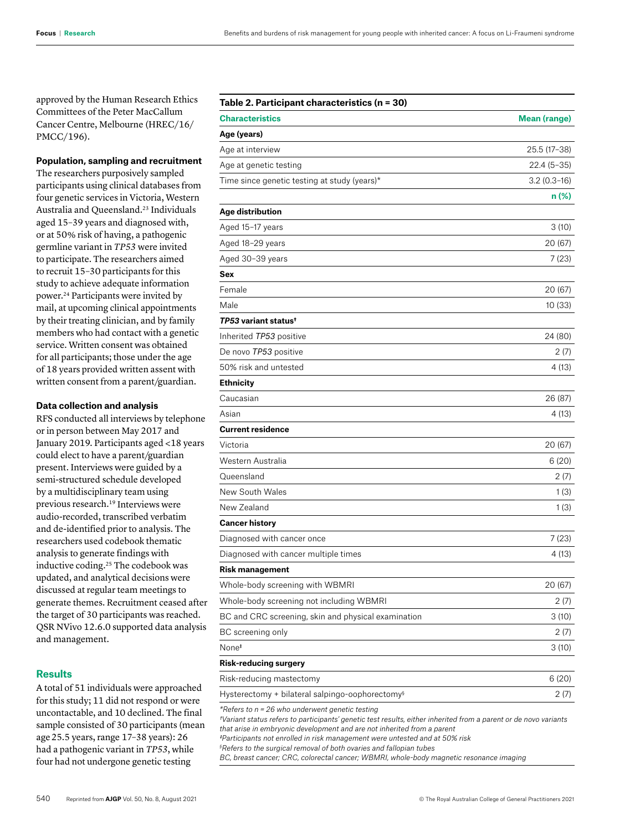approved by the Human Research Ethics Committees of the Peter MacCallum Cancer Centre, Melbourne (HREC/16/ PMCC/196).

# **Population, sampling and recruitment**

The researchers purposively sampled participants using clinical databases from four genetic services in Victoria, Western Australia and Queensland.23 Individuals aged 15–39 years and diagnosed with, or at 50% risk of having, a pathogenic germline variant in *TP53* were invited to participate. The researchers aimed to recruit 15–30 participants for this study to achieve adequate information power.24 Participants were invited by mail, at upcoming clinical appointments by their treating clinician, and by family members who had contact with a genetic service. Written consent was obtained for all participants; those under the age of 18 years provided written assent with written consent from a parent/guardian.

#### **Data collection and analysis**

RFS conducted all interviews by telephone or in person between May 2017 and January 2019. Participants aged <18 years could elect to have a parent/guardian present. Interviews were guided by a semi-structured schedule developed by a multidisciplinary team using previous research.19 Interviews were audio-recorded, transcribed verbatim and de-identified prior to analysis. The researchers used codebook thematic analysis to generate findings with inductive coding.25 The codebook was updated, and analytical decisions were discussed at regular team meetings to generate themes. Recruitment ceased after the target of 30 participants was reached. QSR NVivo 12.6.0 supported data analysis and management.

# **Results**

A total of 51 individuals were approached for this study; 11 did not respond or were uncontactable, and 10 declined. The final sample consisted of 30 participants (mean age25.5 years, range 17–38 years): 26 had a pathogenic variant in *TP53*, while four had not undergone genetic testing

# **Table 2. Participant characteristics (n = 30)**

| <b>Characteristics</b>                                      | <b>Mean (range)</b> |
|-------------------------------------------------------------|---------------------|
| Age (years)                                                 |                     |
| Age at interview                                            | 25.5 (17-38)        |
| Age at genetic testing                                      | $22.4(5-35)$        |
| Time since genetic testing at study (years)*                | $3.2(0.3-16)$       |
|                                                             | n (%)               |
| Age distribution                                            |                     |
| Aged 15-17 years                                            | 3(10)               |
| Aged 18-29 years                                            | 20 (67)             |
| Aged 30-39 years                                            | 7 (23)              |
| Sex                                                         |                     |
| Female                                                      | 20 (67)             |
| Male                                                        | 10 (33)             |
| TP53 variant status <sup>†</sup>                            |                     |
| Inherited TP53 positive                                     | 24 (80)             |
| De novo TP53 positive                                       | 2 (7)               |
| 50% risk and untested                                       | 4 (13)              |
| <b>Ethnicity</b>                                            |                     |
| Caucasian                                                   | 26 (87)             |
| Asian                                                       | 4 (13)              |
| <b>Current residence</b>                                    |                     |
| Victoria                                                    | 20 (67)             |
| Western Australia                                           | 6(20)               |
| Queensland                                                  | 2 (7)               |
| New South Wales                                             | 1(3)                |
| New Zealand                                                 | 1(3)                |
| <b>Cancer history</b>                                       |                     |
| Diagnosed with cancer once                                  | 7(23)               |
| Diagnosed with cancer multiple times                        | 4 (13)              |
| <b>Risk management</b>                                      |                     |
| Whole-body screening with WBMRI                             | 20 (67)             |
| Whole-body screening not including WBMRI                    | 2(7)                |
| BC and CRC screening, skin and physical examination         | 3(10)               |
| BC screening only                                           | 2 (7)               |
| None <sup>#</sup>                                           | 3(10)               |
| <b>Risk-reducing surgery</b>                                |                     |
| Risk-reducing mastectomy                                    | 6(20)               |
| Hysterectomy + bilateral salpingo-oophorectomy <sup>§</sup> | 2(7)                |
| *Refers to $n = 26$ who underwent genetic testing           |                     |

*\*Refers to n = 26 who underwent genetic testing*

*†Variant status refers to participants' genetic test results, either inherited from a parent or de novo variants that arise in embryonic development and are not inherited from a parent ‡Participants not enrolled in risk management were untested and at 50% risk*

*§ Refers to the surgical removal of both ovaries and fallopian tubes*

*BC, breast cancer; CRC, colorectal cancer; WBMRI, whole-body magnetic resonance imaging*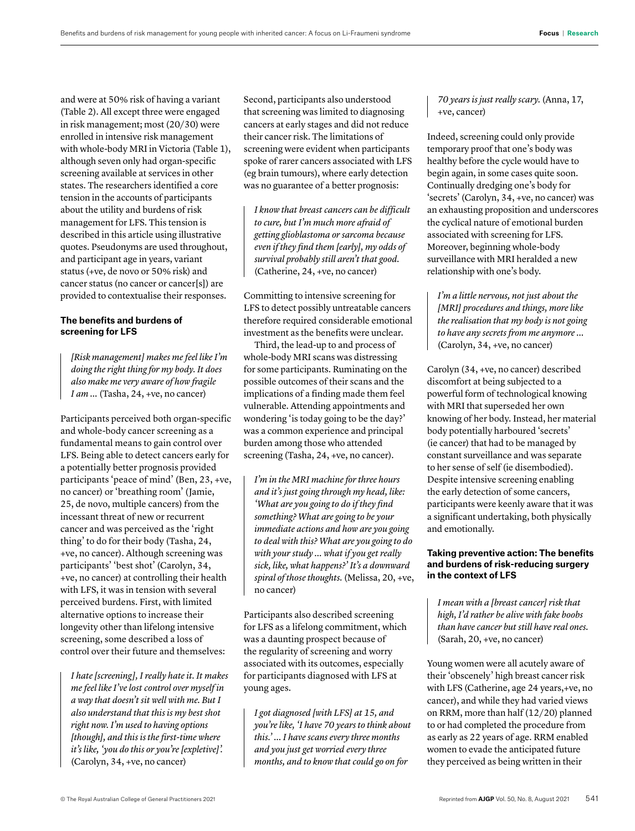and were at 50% risk of having a variant (Table 2). All except three were engaged in risk management; most (20/30) were enrolled in intensive risk management with whole-body MRI in Victoria (Table 1), although seven only had organ-specific screening available at services in other states. The researchers identified a core tension in the accounts of participants about the utility and burdens of risk management for LFS. This tension is described in this article using illustrative quotes. Pseudonyms are used throughout, and participant age in years, variant status (+ve, de novo or 50% risk) and cancer status (no cancer or cancer[s]) are provided to contextualise their responses.

# **The benefits and burdens of screening for LFS**

*[Risk management] makes me feel like I'm doing the right thing for my body. It does also make me very aware of how fragile I am* ... (Tasha, 24, +ve, no cancer)

Participants perceived both organ-specific and whole-body cancer screening as a fundamental means to gain control over LFS. Being able to detect cancers early for a potentially better prognosis provided participants 'peace of mind' (Ben, 23, +ve, no cancer) or 'breathing room' (Jamie, 25, de novo, multiple cancers) from the incessant threat of new or recurrent cancer and was perceived as the 'right thing' to do for their body (Tasha, 24, +ve, no cancer). Although screening was participants' 'best shot' (Carolyn, 34, +ve, no cancer) at controlling their health with LFS, it was in tension with several perceived burdens. First, with limited alternative options to increase their longevity other than lifelong intensive screening, some described a loss of control over their future and themselves:

*I hate [screening], I really hate it. It makes me feel like I've lost control over myself in a way that doesn't sit well with me. But I also understand that this is my best shot right now. I'm used to having options [though], and this is the first-time where it's like, 'you do this or you're [expletive]'.*  (Carolyn, 34, +ve, no cancer)

Second, participants also understood that screening was limited to diagnosing cancers at early stages and did not reduce their cancer risk. The limitations of screening were evident when participants spoke of rarer cancers associated with LFS (eg brain tumours), where early detection was no guarantee of a better prognosis:

*I know that breast cancers can be difficult to cure, but I'm much more afraid of getting glioblastoma or sarcoma because even if they find them [early], my odds of survival probably still aren't that good.*  (Catherine, 24, +ve, no cancer)

Committing to intensive screening for LFS to detect possibly untreatable cancers therefore required considerable emotional investment as the benefits were unclear.

Third, the lead-up to and process of whole-body MRI scans was distressing for some participants. Ruminating on the possible outcomes of their scans and the implications of a finding made them feel vulnerable. Attending appointments and wondering 'is today going to be the day?' was a common experience and principal burden among those who attended screening (Tasha, 24, +ve, no cancer).

*I'm in the MRI machine for three hours and it's just going through my head, like: 'What are you going to do if they find something? What are going to be your immediate actions and how are you going to deal with this? What are you going to do with your study … what if you get really sick, like, what happens?' It's a downward spiral of those thoughts.* (Melissa, 20, +ve, no cancer)

Participants also described screening for LFS as a lifelong commitment, which was a daunting prospect because of the regularity of screening and worry associated with its outcomes, especially for participants diagnosed with LFS at young ages.

*I got diagnosed [with LFS] at 15, and you're like, 'I have 70 years to think about this.' … I have scans every three months and you just get worried every three months, and to know that could go on for* 

*70 years is just really scary.* (Anna, 17, +ve, cancer)

Indeed, screening could only provide temporary proof that one's body was healthy before the cycle would have to begin again, in some cases quite soon. Continually dredging one's body for 'secrets' (Carolyn, 34, +ve, no cancer) was an exhausting proposition and underscores the cyclical nature of emotional burden associated with screening for LFS. Moreover, beginning whole-body surveillance with MRI heralded a new relationship with one's body.

*I'm a little nervous, not just about the [MRI] procedures and things, more like the realisation that my body is not going to have any secrets from me anymore …*  (Carolyn, 34, +ve, no cancer)

Carolyn (34, +ve, no cancer) described discomfort at being subjected to a powerful form of technological knowing with MRI that superseded her own knowing of her body. Instead, her material body potentially harboured 'secrets' (ie cancer) that had to be managed by constant surveillance and was separate to her sense of self (ie disembodied). Despite intensive screening enabling the early detection of some cancers, participants were keenly aware that it was a significant undertaking, both physically and emotionally.

# **Taking preventive action: The benefits and burdens of risk-reducing surgery in the context of LFS**

*I mean with a [breast cancer] risk that high, I'd rather be alive with fake boobs than have cancer but still have real ones.* (Sarah, 20, +ve, no cancer)

Young women were all acutely aware of their 'obscenely' high breast cancer risk with LFS (Catherine, age 24 years,+ve, no cancer), and while they had varied views on RRM, more than half (12/20) planned to or had completed the procedure from as early as 22 years of age. RRM enabled women to evade the anticipated future they perceived as being written in their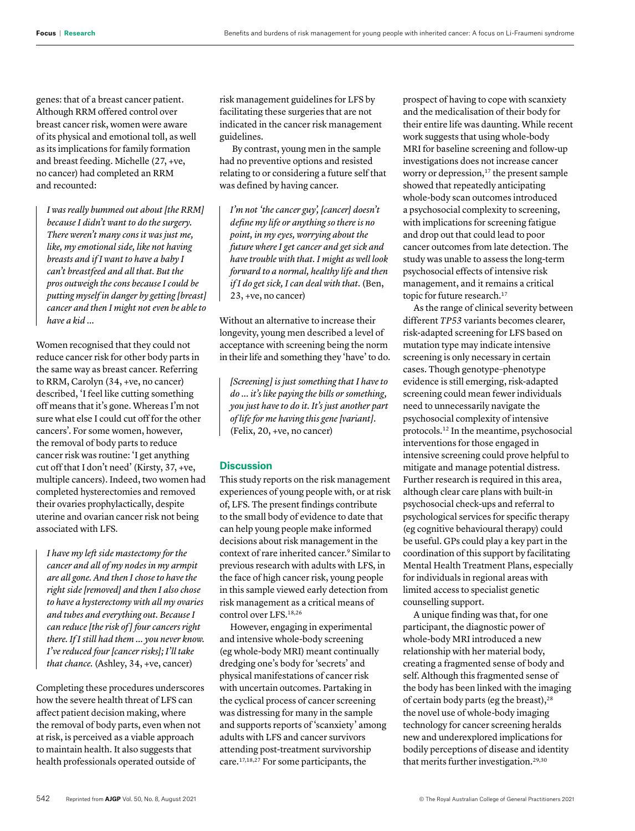genes: that of a breast cancer patient. Although RRM offered control over breast cancer risk, women were aware of its physical and emotional toll, as well as its implications for family formation and breast feeding. Michelle (27, +ve, no cancer) had completed an RRM and recounted:

*I was really bummed out about [the RRM] because I didn't want to do the surgery. There weren't many cons it was just me, like, my emotional side, like not having breasts and if I want to have a baby I can't breastfeed and all that. But the pros outweigh the cons because I could be putting myself in danger by getting [breast] cancer and then I might not even be able to have a kid …*

Women recognised that they could not reduce cancer risk for other body parts in the same way as breast cancer. Referring to RRM, Carolyn (34, +ve, no cancer) described, 'I feel like cutting something off means that it's gone. Whereas I'm not sure what else I could cut off for the other cancers'. For some women, however, the removal of body parts to reduce cancer risk was routine: 'I get anything cut off that I don't need' (Kirsty, 37, +ve, multiple cancers). Indeed, two women had completed hysterectomies and removed their ovaries prophylactically, despite uterine and ovarian cancer risk not being associated with LFS.

*I have my left side mastectomy for the cancer and all of my nodes in my armpit are all gone. And then I chose to have the right side [removed] and then I also chose to have a hysterectomy with all my ovaries and tubes and everything out. Because I can reduce [the risk of ] four cancers right there. If I still had them … you never know. I've reduced four [cancer risks]; I'll take that chance.* (Ashley, 34, +ve, cancer)

Completing these procedures underscores how the severe health threat of LFS can affect patient decision making, where the removal of body parts, even when not at risk, is perceived as a viable approach to maintain health. It also suggests that health professionals operated outside of

risk management guidelines for LFS by facilitating these surgeries that are not indicated in the cancer risk management guidelines.

 By contrast, young men in the sample had no preventive options and resisted relating to or considering a future self that was defined by having cancer.

*I'm not 'the cancer guy', [cancer] doesn't define my life or anything so there is no point, in my eyes, worrying about the future where I get cancer and get sick and have trouble with that. I might as well look forward to a normal, healthy life and then if I do get sick, I can deal with that.* (Ben, 23, +ve, no cancer)

Without an alternative to increase their longevity, young men described a level of acceptance with screening being the norm in their life and something they 'have' to do.

*[Screening] is just something that I have to do ... it's like paying the bills or something, you just have to do it. It's just another part of life for me having this gene [variant].*  (Felix, 20, +ve, no cancer)

# **Discussion**

This study reports on the risk management experiences of young people with, or at risk of, LFS. The present findings contribute to the small body of evidence to date that can help young people make informed decisions about risk management in the context of rare inherited cancer.9 Similar to previous research with adults with LFS, in the face of high cancer risk, young people in this sample viewed early detection from risk management as a critical means of control over LFS.18,26

However, engaging in experimental and intensive whole-body screening (eg whole-body MRI) meant continually dredging one's body for 'secrets' and physical manifestations of cancer risk with uncertain outcomes. Partaking in the cyclical process of cancer screening was distressing for many in the sample and supports reports of 'scanxiety' among adults with LFS and cancer survivors attending post-treatment survivorship care.17,18,27 For some participants, the

prospect of having to cope with scanxiety and the medicalisation of their body for their entire life was daunting. While recent work suggests that using whole-body MRI for baseline screening and follow-up investigations does not increase cancer worry or depression,<sup>17</sup> the present sample showed that repeatedly anticipating whole-body scan outcomes introduced a psychosocial complexity to screening, with implications for screening fatigue and drop out that could lead to poor cancer outcomes from late detection. The study was unable to assess the long-term psychosocial effects of intensive risk management, and it remains a critical topic for future research.<sup>17</sup>

As the range of clinical severity between different *TP53* variants becomes clearer, risk-adapted screening for LFS based on mutation type may indicate intensive screening is only necessary in certain cases. Though genotype–phenotype evidence is still emerging, risk-adapted screening could mean fewer individuals need to unnecessarily navigate the psychosocial complexity of intensive protocols.12 In the meantime, psychosocial interventions for those engaged in intensive screening could prove helpful to mitigate and manage potential distress. Further research is required in this area, although clear care plans with built-in psychosocial check-ups and referral to psychological services for specific therapy (eg cognitive behavioural therapy) could be useful. GPs could play a key part in the coordination of this support by facilitating Mental Health Treatment Plans, especially for individuals in regional areas with limited access to specialist genetic counselling support.

A unique finding was that, for one participant, the diagnostic power of whole-body MRI introduced a new relationship with her material body, creating a fragmented sense of body and self. Although this fragmented sense of the body has been linked with the imaging of certain body parts (eg the breast),<sup>28</sup> the novel use of whole-body imaging technology for cancer screening heralds new and underexplored implications for bodily perceptions of disease and identity that merits further investigation.<sup>29,30</sup>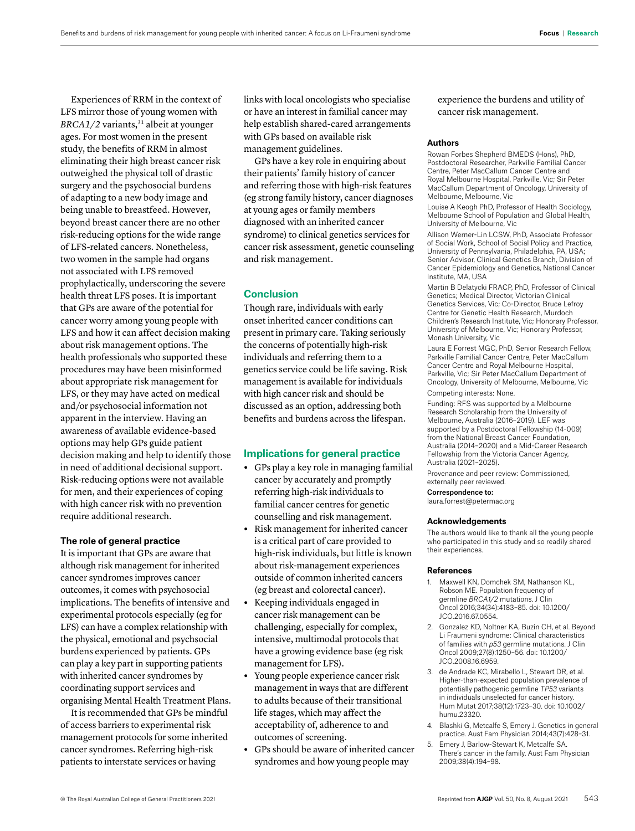Experiences of RRM in the context of LFS mirror those of young women with *BRCA1/2* variants,<sup>31</sup> albeit at younger ages. For most women in the present study, the benefits of RRM in almost eliminating their high breast cancer risk outweighed the physical toll of drastic surgery and the psychosocial burdens of adapting to a new body image and being unable to breastfeed. However, beyond breast cancer there are no other risk-reducing options for the wide range of LFS-related cancers. Nonetheless, two women in the sample had organs not associated with LFS removed prophylactically, underscoring the severe health threat LFS poses. It is important that GPs are aware of the potential for cancer worry among young people with LFS and how it can affect decision making about risk management options. The health professionals who supported these procedures may have been misinformed about appropriate risk management for LFS, or they may have acted on medical and/or psychosocial information not apparent in the interview. Having an awareness of available evidence-based options may help GPs guide patient decision making and help to identify those in need of additional decisional support. Risk-reducing options were not available for men, and their experiences of coping with high cancer risk with no prevention require additional research.

### **The role of general practice**

It is important that GPs are aware that although risk management for inherited cancer syndromes improves cancer outcomes, it comes with psychosocial implications. The benefits of intensive and experimental protocols especially (eg for LFS) can have a complex relationship with the physical, emotional and psychsocial burdens experienced by patients. GPs can play a key part in supporting patients with inherited cancer syndromes by coordinating support services and organising Mental Health Treatment Plans.

It is recommended that GPs be mindful of access barriers to experimental risk management protocols for some inherited cancer syndromes. Referring high-risk patients to interstate services or having

links with local oncologists who specialise or have an interest in familial cancer may help establish shared-cared arrangements with GPs based on available risk management guidelines.

GPs have a key role in enquiring about their patients' family history of cancer and referring those with high-risk features (eg strong family history, cancer diagnoses at young ages or family members diagnosed with an inherited cancer syndrome) to clinical genetics services for cancer risk assessment, genetic counseling and risk management.

#### **Conclusion**

Though rare, individuals with early onset inherited cancer conditions can present in primary care. Taking seriously the concerns of potentially high-risk individuals and referring them to a genetics service could be life saving. Risk management is available for individuals with high cancer risk and should be discussed as an option, addressing both benefits and burdens across the lifespan.

# **Implications for general practice**

- **•** GPs play a key role in managing familial cancer by accurately and promptly referring high-risk individuals to familial cancer centres for genetic counselling and risk management.
- **•** Risk management for inherited cancer is a critical part of care provided to high-risk individuals, but little is known about risk-management experiences outside of common inherited cancers (eg breast and colorectal cancer).
- **•** Keeping individuals engaged in cancer risk management can be challenging, especially for complex, intensive, multimodal protocols that have a growing evidence base (eg risk management for LFS).
- **•** Young people experience cancer risk management in ways that are different to adults because of their transitional life stages, which may affect the acceptability of, adherence to and outcomes of screening.
- **•** GPs should be aware of inherited cancer syndromes and how young people may

experience the burdens and utility of cancer risk management.

#### **Authors**

Rowan Forbes Shepherd BMEDS (Hons), PhD, Postdoctoral Researcher, Parkville Familial Cancer Centre, Peter MacCallum Cancer Centre and Royal Melbourne Hospital, Parkville, Vic; Sir Peter MacCallum Department of Oncology, University of Melbourne, Melbourne, Vic

Louise A Keogh PhD, Professor of Health Sociology, Melbourne School of Population and Global Health, University of Melbourne, Vic

Allison Werner-Lin LCSW, PhD, Associate Professor of Social Work, School of Social Policy and Practice, University of Pennsylvania, Philadelphia, PA, USA; Senior Advisor, Clinical Genetics Branch, Division of Cancer Epidemiology and Genetics, National Cancer Institute, MA, USA

Martin B Delatycki FRACP, PhD, Professor of Clinical Genetics; Medical Director, Victorian Clinical Genetics Services, Vic; Co-Director, Bruce Lefroy Centre for Genetic Health Research, Murdoch Children's Research Institute, Vic; Honorary Professor, University of Melbourne, Vic; Honorary Professor, Monash University, Vic

Laura E Forrest MGC, PhD, Senior Research Fellow, Parkville Familial Cancer Centre, Peter MacCallum Cancer Centre and Royal Melbourne Hospital, Parkville, Vic; Sir Peter MacCallum Department of Oncology, University of Melbourne, Melbourne, Vic Competing interests: None.

Funding: RFS was supported by a Melbourne Research Scholarship from the University of Melbourne, Australia (2016–2019). LEF was supported by a Postdoctoral Fellowship (14-009) from the National Breast Cancer Foundation, Australia (2014–2020) and a Mid-Career Research Fellowship from the Victoria Cancer Agency, Australia (2021–2025).

Provenance and peer review: Commissioned, externally peer reviewed.

Correspondence to: laura.forrest@petermac.org

# **Acknowledgements**

The authors would like to thank all the young people who participated in this study and so readily shared their experiences.

#### **References**

- 1. Maxwell KN, Domchek SM, Nathanson KL, Robson ME. Population frequency of germline *BRCA1/2* mutations. J Clin Oncol 2016;34(34):4183–85. doi: 10.1200/ JCO.2016.67.0554.
- 2. Gonzalez KD, Noltner KA, Buzin CH, et al. Beyond Li Fraumeni syndrome: Clinical characteristics of families with *p53* germline mutations. J Clin Oncol 2009;27(8):1250–56. doi: 10.1200/ JCO.2008.16.6959.
- 3. de Andrade KC, Mirabello L, Stewart DR, et al. Higher-than-expected population prevalence of potentially pathogenic germline *TP53* variants in individuals unselected for cancer history. Hum Mutat 2017;38(12):1723–30. doi: 10.1002/ humu.23320.
- 4. Blashki G, Metcalfe S, Emery J. Genetics in general practice. Aust Fam Physician 2014;43(7):428–31.
- 5. Emery J, Barlow-Stewart K, Metcalfe SA. There's cancer in the family. Aust Fam Physician 2009;38(4):194–98.